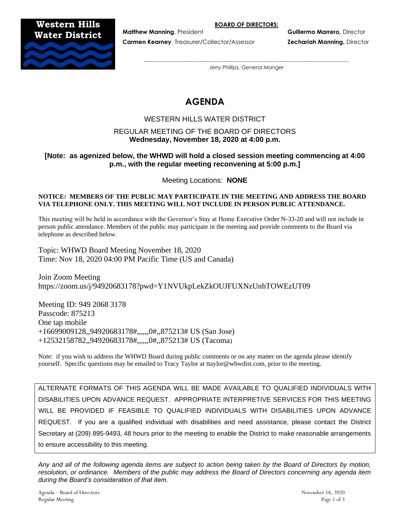**BOARD OF DIRECTORS:**

# **Western Hills Water District**



**Carmen Kearney**, Treasurer/Collector/Assessor **Zechariah Manning,** Director

**Matthew Manning**, President **Guillermo Marrero,** Director

*---------------------------------------------------------------------------------------------------------------------- Jerry Phillips, General Manger*

# **AGENDA**

# WESTERN HILLS WATER DISTRICT

# REGULAR MEETING OF THE BOARD OF DIRECTORS **Wednesday, November 18, 2020 at 4:00 p.m.**

# **[Note: as agenized below, the WHWD will hold a closed session meeting commencing at 4:00 p.m., with the regular meeting reconvening at 5:00 p.m.]**

Meeting Locations: **NONE**

#### **NOTICE: MEMBERS OF THE PUBLIC MAY PARTICIPATE IN THE MEETING AND ADDRESS THE BOARD VIA TELEPHONE ONLY. THIS MEETING WILL NOT INCLUDE IN PERSON PUBLIC ATTENDANCE.**

This meeting will be held in accordance with the Governor's Stay at Home Executive Order N-33-20 and will not include in person public attendance. Members of the public may participate in the meeting and provide comments to the Board via telephone as described below.

Topic: WHWD Board Meeting November 18, 2020 Time: Nov 18, 2020 04:00 PM Pacific Time (US and Canada)

Join Zoom Meeting https://zoom.us/j/94920683178?pwd=Y1NVUkpLekZkOUJFUXNzUnhTOWEzUT09

Meeting ID: 949 2068 3178 Passcode: 875213 One tap mobile +16699009128,,94920683178#,,,,,,0#,,875213# US (San Jose) +12532158782,,94920683178#,,,,,,0#,,875213# US (Tacoma)

Note: if you wish to address the WHWD Board during public comments or on any matter on the agenda please identify yourself. Specific questions may be emailed to Tracy Taylor at ttaylor@whwdist.com, prior to the meeting.

ALTERNATE FORMATS OF THIS AGENDA WILL BE MADE AVAILABLE TO QUALIFIED INDIVIDUALS WITH DISABILITIES UPON ADVANCE REQUEST. APPROPRIATE INTERPRETIVE SERVICES FOR THIS MEETING WILL BE PROVIDED IF FEASIBLE TO QUALIFIED INDIVIDUALS WITH DISABILITIES UPON ADVANCE REQUEST. If you are a qualified individual with disabilities and need assistance, please contact the District Secretary at (209) 895-9493, 48 hours prior to the meeting to enable the District to make reasonable arrangements to ensure accessibility to this meeting.

*Any and all of the following agenda items are subject to action being taken by the Board of Directors by motion, resolution, or ordinance. Members of the public may address the Board of Directors concerning any agenda item during the Board's consideration of that item.*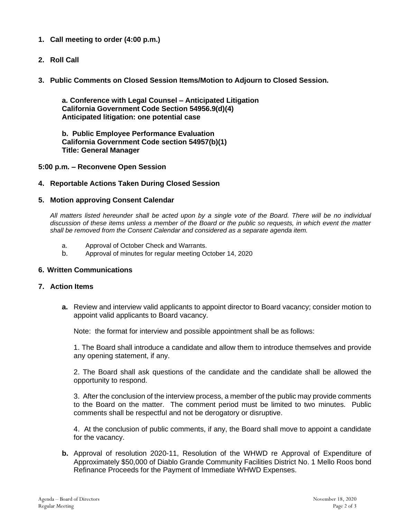- **1. Call meeting to order (4:00 p.m.)**
- **2. Roll Call**
- **3. Public Comments on Closed Session Items/Motion to Adjourn to Closed Session.**

**a. Conference with Legal Counsel – Anticipated Litigation California Government Code Section 54956.9(d)(4) Anticipated litigation: one potential case**

**b. Public Employee Performance Evaluation California Government Code section 54957(b)(1) Title: General Manager**

#### **5:00 p.m. – Reconvene Open Session**

#### **4. Reportable Actions Taken During Closed Session**

#### **5. Motion approving Consent Calendar**

*All matters listed hereunder shall be acted upon by a single vote of the Board. There will be no individual discussion of these items unless a member of the Board or the public so requests, in which event the matter shall be removed from the Consent Calendar and considered as a separate agenda item.*

- a. Approval of October Check and Warrants.
- b. Approval of minutes for regular meeting October 14, 2020

#### **6. Written Communications**

#### **7. Action Items**

**a.** Review and interview valid applicants to appoint director to Board vacancy; consider motion to appoint valid applicants to Board vacancy.

Note: the format for interview and possible appointment shall be as follows:

1. The Board shall introduce a candidate and allow them to introduce themselves and provide any opening statement, if any.

2. The Board shall ask questions of the candidate and the candidate shall be allowed the opportunity to respond.

3. After the conclusion of the interview process, a member of the public may provide comments to the Board on the matter. The comment period must be limited to two minutes. Public comments shall be respectful and not be derogatory or disruptive.

4. At the conclusion of public comments, if any, the Board shall move to appoint a candidate for the vacancy.

**b.** Approval of resolution 2020-11, Resolution of the WHWD re Approval of Expenditure of Approximately \$50,000 of Diablo Grande Community Facilities District No. 1 Mello Roos bond Refinance Proceeds for the Payment of Immediate WHWD Expenses.